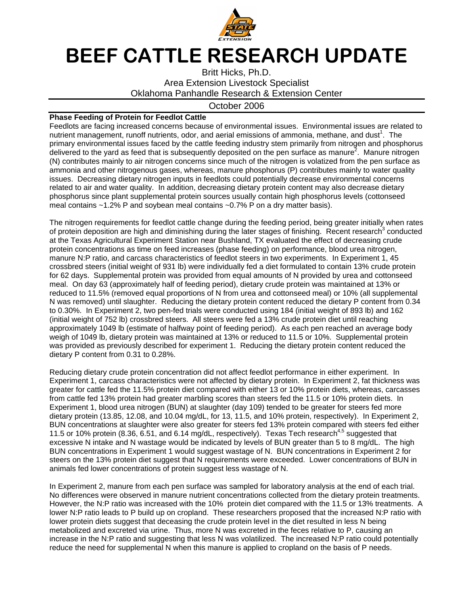

## BEEF CATTLE RESEARCH UPDATE

Britt Hicks, Ph.D. Area Extension Livestock Specialist Oklahoma Panhandle Research & Extension Center

## October 2006

## **Phase Feeding of Protein for Feedlot Cattle**

Feedlots are facing increased concerns because of environmental issues. Environmental issues are related to nutrient management, runoff nutrients, odor, and aerial emissions of ammonia, methane, and dust<sup>1</sup>. The primary environmental issues faced by the cattle feeding industry stem primarily from nitrogen and phosphorus delivered to the yard as feed that is subsequently deposited on the pen surface as manure<sup>2</sup>. Manure nitrogen (N) contributes mainly to air nitrogen concerns since much of the nitrogen is volatized from the pen surface as ammonia and other nitrogenous gases, whereas, manure phosphorus (P) contributes mainly to water quality issues. Decreasing dietary nitrogen inputs in feedlots could potentially decrease environmental concerns related to air and water quality. In addition, decreasing dietary protein content may also decrease dietary phosphorus since plant supplemental protein sources usually contain high phosphorus levels (cottonseed meal contains ~1.2% P and soybean meal contains ~0.7% P on a dry matter basis).

The nitrogen requirements for feedlot cattle change during the feeding period, being greater initially when rates of protein deposition are high and diminishing during the later stages of finishing. Recent research<sup>3</sup> conducted at the Texas Agricultural Experiment Station near Bushland, TX evaluated the effect of decreasing crude protein concentrations as time on feed increases (phase feeding) on performance, blood urea nitrogen, manure N:P ratio, and carcass characteristics of feedlot steers in two experiments. In Experiment 1, 45 crossbred steers (initial weight of 931 lb) were individually fed a diet formulated to contain 13% crude protein for 62 days. Supplemental protein was provided from equal amounts of N provided by urea and cottonseed meal. On day 63 (approximately half of feeding period), dietary crude protein was maintained at 13% or reduced to 11.5% (removed equal proportions of N from urea and cottonseed meal) or 10% (all supplemental N was removed) until slaughter. Reducing the dietary protein content reduced the dietary P content from 0.34 to 0.30%. In Experiment 2, two pen-fed trials were conducted using 184 (initial weight of 893 lb) and 162 (initial weight of 752 lb) crossbred steers. All steers were fed a 13% crude protein diet until reaching approximately 1049 lb (estimate of halfway point of feeding period). As each pen reached an average body weigh of 1049 lb, dietary protein was maintained at 13% or reduced to 11.5 or 10%. Supplemental protein was provided as previously described for experiment 1. Reducing the dietary protein content reduced the dietary P content from 0.31 to 0.28%.

Reducing dietary crude protein concentration did not affect feedlot performance in either experiment. In Experiment 1, carcass characteristics were not affected by dietary protein. In Experiment 2, fat thickness was greater for cattle fed the 11.5% protein diet compared with either 13 or 10% protein diets, whereas, carcasses from cattle fed 13% protein had greater marbling scores than steers fed the 11.5 or 10% protein diets. In Experiment 1, blood urea nitrogen (BUN) at slaughter (day 109) tended to be greater for steers fed more dietary protein (13.85, 12.08, and 10.04 mg/dL, for 13, 11.5, and 10% protein, respectively). In Experiment 2, BUN concentrations at slaughter were also greater for steers fed 13% protein compared with steers fed either 11.5 or 10% protein (8.36, 6.51, and 6.14 mg/dL, respectively). Texas Tech research<sup>4,5</sup> suggested that excessive N intake and N wastage would be indicated by levels of BUN greater than 5 to 8 mg/dL. The high BUN concentrations in Experiment 1 would suggest wastage of N. BUN concentrations in Experiment 2 for steers on the 13% protein diet suggest that N requirements were exceeded. Lower concentrations of BUN in animals fed lower concentrations of protein suggest less wastage of N.

In Experiment 2, manure from each pen surface was sampled for laboratory analysis at the end of each trial. No differences were observed in manure nutrient concentrations collected from the dietary protein treatments. However, the N:P ratio was increased with the 10% protein diet compared with the 11.5 or 13% treatments. A lower N:P ratio leads to P build up on cropland. These researchers proposed that the increased N:P ratio with lower protein diets suggest that deceasing the crude protein level in the diet resulted in less N being metabolized and excreted via urine. Thus, more N was excreted in the feces relative to P, causing an increase in the N:P ratio and suggesting that less N was volatilized. The increased N:P ratio could potentially reduce the need for supplemental N when this manure is applied to cropland on the basis of P needs.